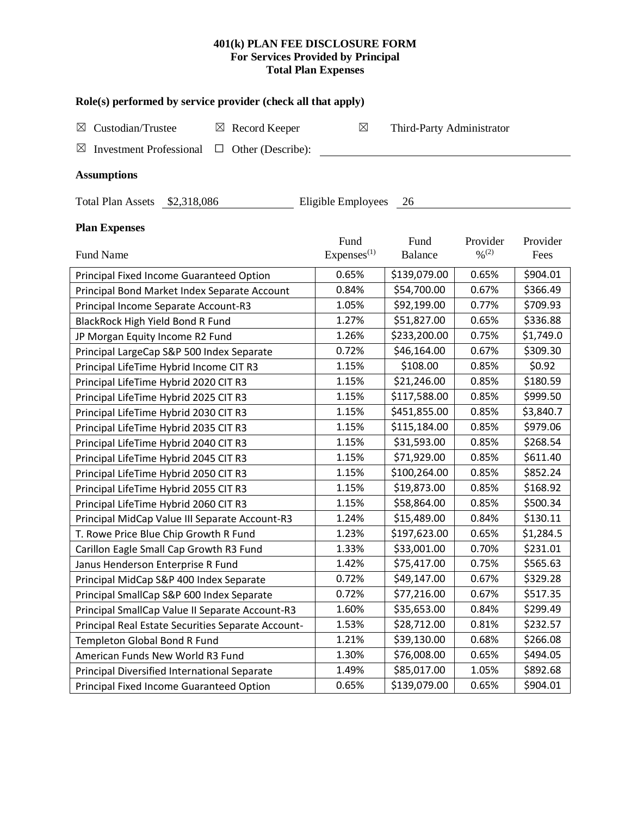## **401(k) PLAN FEE DISCLOSURE FORM For Services Provided by Principal Total Plan Expenses**

| Role(s) performed by service provider (check all that apply)            |                        |                           |                              |           |  |  |  |  |  |  |
|-------------------------------------------------------------------------|------------------------|---------------------------|------------------------------|-----------|--|--|--|--|--|--|
| Custodian/Trustee<br>Record Keeper<br>$\boxtimes$<br>$\boxtimes$        | $\boxtimes$            | Third-Party Administrator |                              |           |  |  |  |  |  |  |
| Other (Describe):<br>$\boxtimes$<br><b>Investment Professional</b><br>⊔ |                        |                           |                              |           |  |  |  |  |  |  |
| <b>Assumptions</b>                                                      |                        |                           |                              |           |  |  |  |  |  |  |
| Eligible Employees<br><b>Total Plan Assets</b><br>\$2,318,086<br>26     |                        |                           |                              |           |  |  |  |  |  |  |
|                                                                         |                        |                           |                              |           |  |  |  |  |  |  |
| <b>Plan Expenses</b>                                                    |                        |                           |                              |           |  |  |  |  |  |  |
|                                                                         | Fund                   | Fund                      | Provider                     | Provider  |  |  |  |  |  |  |
| Fund Name                                                               | Express <sup>(1)</sup> | <b>Balance</b>            | $\frac{0}{2}$ <sup>(2)</sup> | Fees      |  |  |  |  |  |  |
| Principal Fixed Income Guaranteed Option                                | 0.65%                  | \$139,079.00              | 0.65%                        | \$904.01  |  |  |  |  |  |  |
| Principal Bond Market Index Separate Account                            | 0.84%                  | \$54,700.00               | 0.67%                        | \$366.49  |  |  |  |  |  |  |
| Principal Income Separate Account-R3                                    | 1.05%                  | \$92,199.00               | 0.77%                        | \$709.93  |  |  |  |  |  |  |
| BlackRock High Yield Bond R Fund                                        | 1.27%                  | \$51,827.00               | 0.65%                        | \$336.88  |  |  |  |  |  |  |
| JP Morgan Equity Income R2 Fund                                         | 1.26%                  | \$233,200.00              | 0.75%                        | \$1,749.0 |  |  |  |  |  |  |
| Principal LargeCap S&P 500 Index Separate                               | 0.72%                  | \$46,164.00               | 0.67%                        | \$309.30  |  |  |  |  |  |  |
| Principal LifeTime Hybrid Income CIT R3                                 | 1.15%                  | \$108.00                  | 0.85%                        | \$0.92    |  |  |  |  |  |  |
| Principal LifeTime Hybrid 2020 CIT R3                                   | 1.15%                  | \$21,246.00               | 0.85%                        | \$180.59  |  |  |  |  |  |  |
| Principal LifeTime Hybrid 2025 CIT R3                                   | 1.15%                  | \$117,588.00              | 0.85%                        | \$999.50  |  |  |  |  |  |  |
| Principal LifeTime Hybrid 2030 CIT R3                                   | 1.15%                  | \$451,855.00              | 0.85%                        | \$3,840.7 |  |  |  |  |  |  |
| Principal LifeTime Hybrid 2035 CIT R3                                   | 1.15%                  | \$115,184.00              | 0.85%                        | \$979.06  |  |  |  |  |  |  |
| Principal LifeTime Hybrid 2040 CIT R3                                   | 1.15%                  | \$31,593.00               | 0.85%                        | \$268.54  |  |  |  |  |  |  |
| Principal LifeTime Hybrid 2045 CIT R3                                   | 1.15%                  | \$71,929.00               | 0.85%                        | \$611.40  |  |  |  |  |  |  |
| Principal LifeTime Hybrid 2050 CIT R3                                   | 1.15%                  | \$100,264.00              | 0.85%                        | \$852.24  |  |  |  |  |  |  |
| Principal LifeTime Hybrid 2055 CIT R3                                   | 1.15%                  | \$19,873.00               | 0.85%                        | \$168.92  |  |  |  |  |  |  |
| Principal LifeTime Hybrid 2060 CIT R3                                   | 1.15%                  | \$58,864.00               | 0.85%                        | \$500.34  |  |  |  |  |  |  |
| Principal MidCap Value III Separate Account-R3                          | 1.24%                  | \$15,489.00               | 0.84%                        | \$130.11  |  |  |  |  |  |  |
| T. Rowe Price Blue Chip Growth R Fund                                   | 1.23%                  | \$197,623.00              | 0.65%                        | \$1,284.5 |  |  |  |  |  |  |
| Carillon Eagle Small Cap Growth R3 Fund                                 | 1.33%                  | \$33,001.00               | 0.70%                        | \$231.01  |  |  |  |  |  |  |
| Janus Henderson Enterprise R Fund                                       | 1.42%                  | \$75,417.00               | 0.75%                        | \$565.63  |  |  |  |  |  |  |
| Principal MidCap S&P 400 Index Separate                                 | 0.72%                  | \$49,147.00               | 0.67%                        | \$329.28  |  |  |  |  |  |  |
| Principal SmallCap S&P 600 Index Separate                               | 0.72%                  | \$77,216.00               | 0.67%                        | \$517.35  |  |  |  |  |  |  |
| Principal SmallCap Value II Separate Account-R3                         | 1.60%                  | \$35,653.00               | 0.84%                        | \$299.49  |  |  |  |  |  |  |
| Principal Real Estate Securities Separate Account-                      | 1.53%                  | \$28,712.00               | 0.81%                        | \$232.57  |  |  |  |  |  |  |
| Templeton Global Bond R Fund                                            | 1.21%                  | \$39,130.00               | 0.68%                        | \$266.08  |  |  |  |  |  |  |
| American Funds New World R3 Fund                                        | 1.30%                  | \$76,008.00               | 0.65%                        | \$494.05  |  |  |  |  |  |  |
| Principal Diversified International Separate                            | 1.49%                  | \$85,017.00               | 1.05%                        | \$892.68  |  |  |  |  |  |  |
| Principal Fixed Income Guaranteed Option                                | 0.65%                  | \$139,079.00              | 0.65%                        | \$904.01  |  |  |  |  |  |  |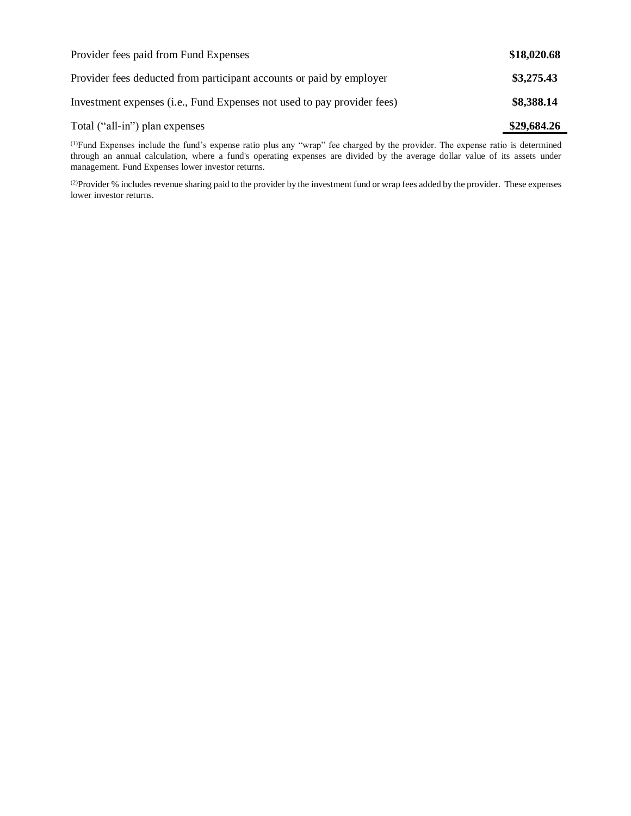| Provider fees paid from Fund Expenses                                   | \$18,020.68 |
|-------------------------------------------------------------------------|-------------|
| Provider fees deducted from participant accounts or paid by employer    | \$3,275.43  |
| Investment expenses (i.e., Fund Expenses not used to pay provider fees) | \$8,388.14  |
| Total ("all-in") plan expenses                                          | \$29,684.26 |

(1)Fund Expenses include the fund's expense ratio plus any "wrap" fee charged by the provider. The expense ratio is determined through an annual calculation, where a fund's operating expenses are divided by the average dollar value of its assets under management. Fund Expenses lower investor returns.

(2) Provider % includes revenue sharing paid to the provider by the investment fund or wrap fees added by the provider. These expenses lower investor returns.